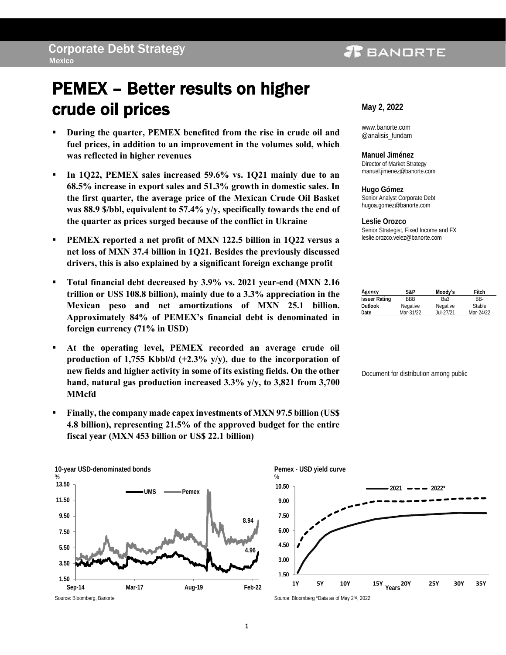### **PEANDRTE**

# PEMEX – Better results on higher crude oil prices

- **During the quarter, PEMEX benefited from the rise in crude oil and fuel prices, in addition to an improvement in the volumes sold, which was reflected in higher revenues**
- In 1Q22, PEMEX sales increased 59.6% vs. 1Q21 mainly due to an **68.5% increase in export sales and 51.3% growth in domestic sales. In the first quarter, the average price of the Mexican Crude Oil Basket was 88.9 \$/bbl, equivalent to 57.4% y/y, specifically towards the end of the quarter as prices surged because of the conflict in Ukraine**
- **PEMEX reported a net profit of MXN 122.5 billion in 1Q22 versus a net loss of MXN 37.4 billion in 1Q21. Besides the previously discussed drivers, this is also explained by a significant foreign exchange profit**
- **Total financial debt decreased by 3.9% vs. 2021 year-end (MXN 2.16 trillion or US\$ 108.8 billion), mainly due to a 3.3% appreciation in the Mexican peso and net amortizations of MXN 25.1 billion. Approximately 84% of PEMEX's financial debt is denominated in foreign currency (71% in USD)**
- **At the operating level, PEMEX recorded an average crude oil production of 1,755 Kbbl/d (+2.3% y/y), due to the incorporation of new fields and higher activity in some of its existing fields. On the other hand, natural gas production increased 3.3% y/y, to 3,821 from 3,700 MMcfd**
- **Finally, the company made capex investments of MXN 97.5 billion (US\$ 4.8 billion), representing 21.5% of the approved budget for the entire fiscal year (MXN 453 billion or US\$ 22.1 billion)**





www.banorte.com @analisis\_fundam

**Manuel Jiménez** Director of Market Strategy manuel.jimenez@banorte.com

**Hugo Gómez** Senior Analyst Corporate Debt hugoa.gomez@banorte.com

**Leslie Orozco**  Senior Strategist, Fixed Income and FX [leslie.orozco.velez@banorte.com](mailto:leslie.orozco.velez@banorte.com)

| Agency               | S&P        | Moody's   | Fitch     |
|----------------------|------------|-----------|-----------|
| <b>Issuer Rating</b> | <b>BBB</b> | Ba3       | RR-       |
| Outlook              | Negative   | Negative  | Stable    |
| Date                 | Mar-31/22  | Jul-27/21 | Mar-24/22 |

Document for distribution among public



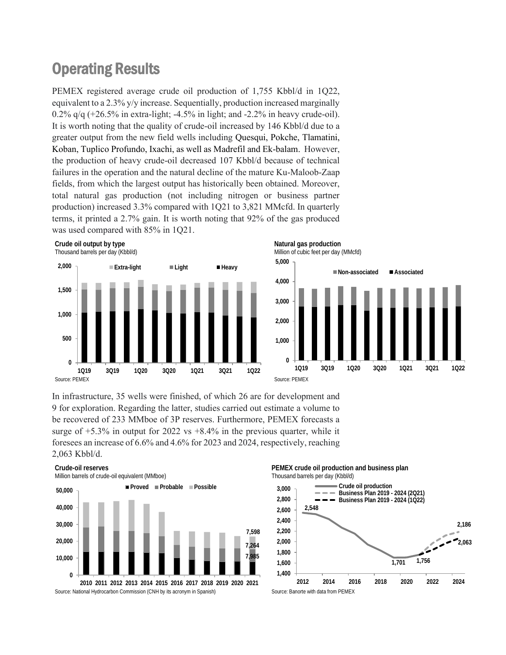## Operating Results

PEMEX registered average crude oil production of 1,755 Kbbl/d in 1Q22, equivalent to a 2.3% y/y increase. Sequentially, production increased marginally  $0.2\%$  q/q  $(+26.5\%$  in extra-light; -4.5% in light; and -2.2% in heavy crude-oil). It is worth noting that the quality of crude-oil increased by 146 Kbbl/d due to a greater output from the new field wells including Quesqui, Pokche, Tlamatini, Koban, Tuplico Profundo, Ixachi, as well as Madrefil and Ek-balam. However, the production of heavy crude-oil decreased 107 Kbbl/d because of technical failures in the operation and the natural decline of the mature Ku-Maloob-Zaap fields, from which the largest output has historically been obtained. Moreover, total natural gas production (not including nitrogen or business partner production) increased 3.3% compared with 1Q21 to 3,821 MMcfd. In quarterly terms, it printed a 2.7% gain. It is worth noting that 92% of the gas produced was used compared with 85% in 1Q21.



In infrastructure, 35 wells were finished, of which 26 are for development and 9 for exploration. Regarding the latter, studies carried out estimate a volume to be recovered of 233 MMboe of 3P reserves. Furthermore, PEMEX forecasts a surge of  $+5.3\%$  in output for 2022 vs  $+8.4\%$  in the previous quarter, while it foresees an increase of 6.6% and 4.6% for 2023 and 2024, respectively, reaching 2,063 Kbbl/d.



**PEMEX crude oil production and business plan** Thousand barrels per day (Kbbl/d)

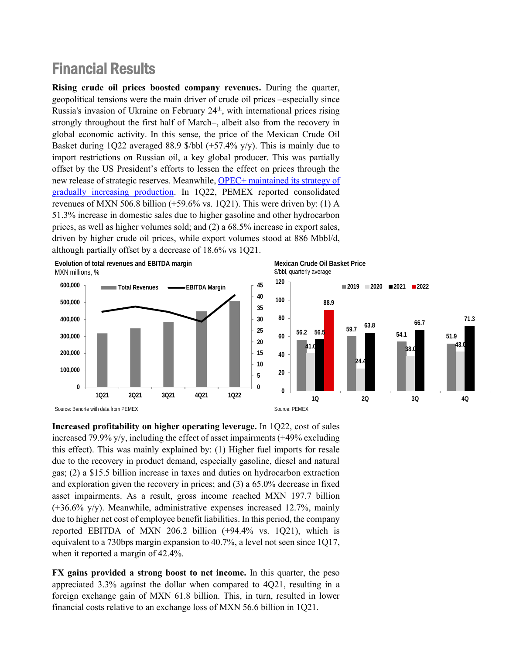### Financial Results

**Rising crude oil prices boosted company revenues.** During the quarter, geopolitical tensions were the main driver of crude oil prices –especially since Russia's invasion of Ukraine on February 24<sup>th</sup>, with international prices rising strongly throughout the first half of March–, albeit also from the recovery in global economic activity. In this sense, the price of the Mexican Crude Oil Basket during 1Q22 averaged 88.9 \$/bbl (+57.4% y/y). This is mainly due to import restrictions on Russian oil, a key global producer. This was partially offset by the US President's efforts to lessen the effect on prices through the new release of strategic reserves. Meanwhile, [OPEC+ maintained](https://www.banorte.com/cms/casadebolsabanorteixe/analisisyestrategia/estrategiasemanalrentafija/20220331_OPEC.pdf) its strategy of [gradually increasing production.](https://www.banorte.com/cms/casadebolsabanorteixe/analisisyestrategia/estrategiasemanalrentafija/20220331_OPEC.pdf) In 1Q22, PEMEX reported consolidated revenues of MXN 506.8 billion  $(+59.6\% \text{ vs. } 1Q21)$ . This were driven by: (1) A 51.3% increase in domestic sales due to higher gasoline and other hydrocarbon prices, as well as higher volumes sold; and (2) a 68.5% increase in export sales, driven by higher crude oil prices, while export volumes stood at 886 Mbbl/d, although partially offset by a decrease of 18.6% vs 1Q21.



**Mexican Crude Oil Basket Price** \$/bbl, quarterly average



**Increased profitability on higher operating leverage.** In 1Q22, cost of sales increased 79.9% y/y, including the effect of asset impairments (+49% excluding this effect). This was mainly explained by: (1) Higher fuel imports for resale due to the recovery in product demand, especially gasoline, diesel and natural gas; (2) a \$15.5 billion increase in taxes and duties on hydrocarbon extraction and exploration given the recovery in prices; and (3) a 65.0% decrease in fixed asset impairments. As a result, gross income reached MXN 197.7 billion  $(+36.6\% \text{ y/y})$ . Meanwhile, administrative expenses increased 12.7%, mainly due to higher net cost of employee benefit liabilities. In this period, the company reported EBITDA of MXN 206.2 billion (+94.4% vs. 1Q21), which is equivalent to a 730bps margin expansion to 40.7%, a level not seen since 1Q17, when it reported a margin of 42.4%.

**FX gains provided a strong boost to net income.** In this quarter, the peso appreciated 3.3% against the dollar when compared to 4Q21, resulting in a foreign exchange gain of MXN 61.8 billion. This, in turn, resulted in lower financial costs relative to an exchange loss of MXN 56.6 billion in 1Q21.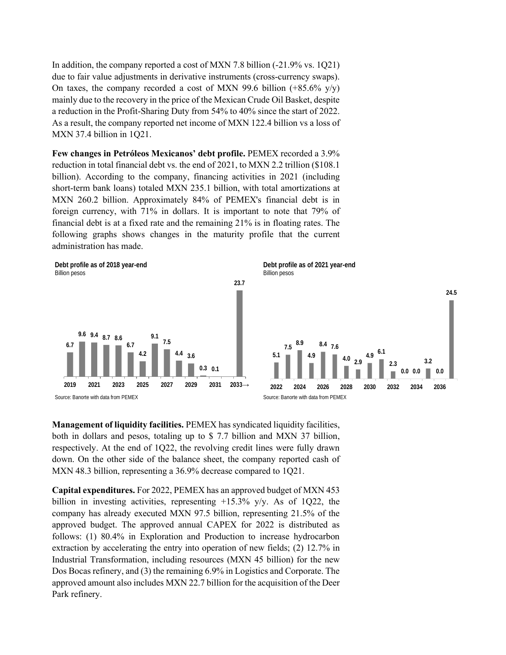In addition, the company reported a cost of MXN 7.8 billion (-21.9% vs. 1Q21) due to fair value adjustments in derivative instruments (cross-currency swaps). On taxes, the company recorded a cost of MXN 99.6 billion  $(+85.6\% \text{ y/y})$ mainly due to the recovery in the price of the Mexican Crude Oil Basket, despite a reduction in the Profit-Sharing Duty from 54% to 40% since the start of 2022. As a result, the company reported net income of MXN 122.4 billion vs a loss of MXN 37.4 billion in 1Q21.

**Few changes in Petróleos Mexicanos' debt profile.** PEMEX recorded a 3.9% reduction in total financial debt vs. the end of 2021, to MXN 2.2 trillion (\$108.1 billion). According to the company, financing activities in 2021 (including short-term bank loans) totaled MXN 235.1 billion, with total amortizations at MXN 260.2 billion. Approximately 84% of PEMEX's financial debt is in foreign currency, with 71% in dollars. It is important to note that 79% of financial debt is at a fixed rate and the remaining 21% is in floating rates. The following graphs shows changes in the maturity profile that the current administration has made.



**Management of liquidity facilities.** PEMEX has syndicated liquidity facilities, both in dollars and pesos, totaling up to \$ 7.7 billion and MXN 37 billion, respectively. At the end of 1Q22, the revolving credit lines were fully drawn down. On the other side of the balance sheet, the company reported cash of MXN 48.3 billion, representing a 36.9% decrease compared to 1Q21.

**Capital expenditures.** For 2022, PEMEX has an approved budget of MXN 453 billion in investing activities, representing  $+15.3\%$  y/y. As of 1Q22, the company has already executed MXN 97.5 billion, representing 21.5% of the approved budget. The approved annual CAPEX for 2022 is distributed as follows: (1) 80.4% in Exploration and Production to increase hydrocarbon extraction by accelerating the entry into operation of new fields; (2) 12.7% in Industrial Transformation, including resources (MXN 45 billion) for the new Dos Bocas refinery, and (3) the remaining 6.9% in Logistics and Corporate. The approved amount also includes MXN 22.7 billion for the acquisition of the Deer Park refinery.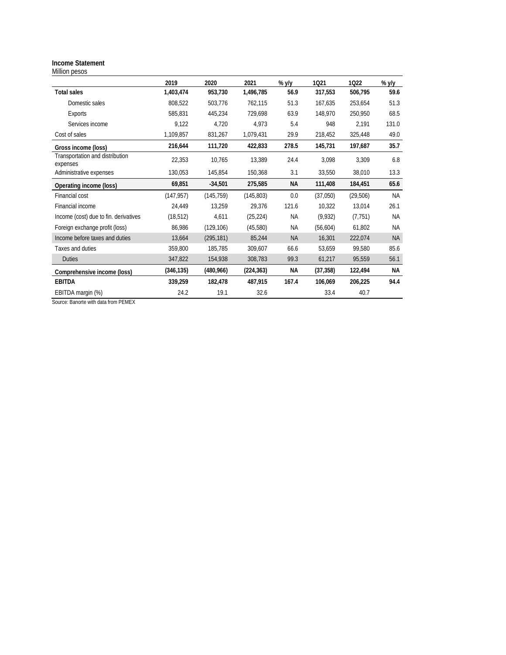#### **Income Statement** Million pesos

|                                             | 2019       | 2020       | 2021       | % $y/y$   | 1021      | 1022     | $%$ y/y   |
|---------------------------------------------|------------|------------|------------|-----------|-----------|----------|-----------|
| Total sales                                 | 1,403,474  | 953,730    | 1,496,785  | 56.9      | 317,553   | 506,795  | 59.6      |
| Domestic sales                              | 808,522    | 503,776    | 762,115    | 51.3      | 167,635   | 253,654  | 51.3      |
| Exports                                     | 585,831    | 445,234    | 729.698    | 63.9      | 148.970   | 250,950  | 68.5      |
| Services income                             | 9,122      | 4,720      | 4,973      | 5.4       | 948       | 2,191    | 131.0     |
| Cost of sales                               | 1,109,857  | 831,267    | 1,079,431  | 29.9      | 218,452   | 325,448  | 49.0      |
| Gross income (loss)                         | 216,644    | 111,720    | 422,833    | 278.5     | 145,731   | 197,687  | 35.7      |
| Transportation and distribution<br>expenses | 22,353     | 10.765     | 13,389     | 24.4      | 3,098     | 3,309    | 6.8       |
| Administrative expenses                     | 130,053    | 145.854    | 150,368    | 3.1       | 33,550    | 38,010   | 13.3      |
| Operating income (loss)                     | 69,851     | $-34,501$  | 275,585    | <b>NA</b> | 111,408   | 184,451  | 65.6      |
| Financial cost                              | (147, 957) | (145, 759) | (145,803)  | 0.0       | (37,050)  | (29,506) | <b>NA</b> |
| Financial income                            | 24,449     | 13,259     | 29,376     | 121.6     | 10,322    | 13,014   | 26.1      |
| Income (cost) due to fin. derivatives       | (18, 512)  | 4,611      | (25, 224)  | ΝA        | (9,932)   | (7, 751) | <b>NA</b> |
| Foreign exchange profit (loss)              | 86,986     | (129, 106) | (45,580)   | <b>NA</b> | (56, 604) | 61,802   | <b>NA</b> |
| Income before taxes and duties              | 13,664     | (295, 181) | 85,244     | <b>NA</b> | 16,301    | 222,074  | <b>NA</b> |
| Taxes and duties                            | 359,800    | 185,785    | 309,607    | 66.6      | 53,659    | 99,580   | 85.6      |
| <b>Duties</b>                               | 347,822    | 154,938    | 308,783    | 99.3      | 61,217    | 95,559   | 56.1      |
| Comprehensive income (loss)                 | (346, 135) | (480,966)  | (224, 363) | <b>NA</b> | (37, 358) | 122,494  | <b>NA</b> |
| <b>EBITDA</b>                               | 339,259    | 182,478    | 487,915    | 167.4     | 106,069   | 206,225  | 94.4      |
| EBITDA margin (%)                           | 24.2       | 19.1       | 32.6       |           | 33.4      | 40.7     |           |

Source: Banorte with data from PEMEX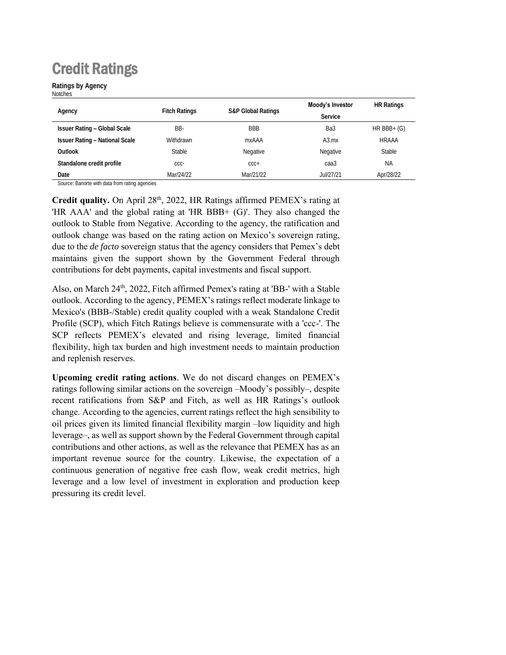# Credit Ratings

**Ratings by Agency Notches** 

|                                       |                      |                               | Moody's Investor | <b>HR Ratings</b> |
|---------------------------------------|----------------------|-------------------------------|------------------|-------------------|
| Agency                                | <b>Fitch Ratings</b> | <b>S&amp;P Global Ratings</b> | Service          |                   |
| <b>Issuer Rating - Global Scale</b>   | BB-                  | <b>BBB</b>                    | Ba3              | $HR BBB+ (G)$     |
| <b>Issuer Rating - National Scale</b> | <b>Withdrawn</b>     | mxAAA                         | A3.mx            | <b>HRAAA</b>      |
| Outlook                               | <b>Stable</b>        | Negative                      | Negative         | Stable            |
| Standalone credit profile             | CCC-                 | $CCC +$                       | caa3             | <b>NA</b>         |
| Date                                  | Mar/24/22            | Mar/21/22                     | Jul/27/21        | Apr/28/22         |

Source: Banorte with data from rating agencies

**Credit quality.** On April 28th, 2022, HR Ratings affirmed PEMEX's rating at 'HR AAA' and the global rating at 'HR BBB+ (G)'. They also changed the outlook to Stable from Negative. According to the agency, the ratification and outlook change was based on the rating action on Mexico's sovereign rating, due to the *de facto* sovereign status that the agency considers that Pemex's debt maintains given the support shown by the Government Federal through contributions for debt payments, capital investments and fiscal support.

Also, on March 24<sup>th</sup>, 2022, Fitch affirmed Pemex's rating at 'BB-' with a Stable outlook. According to the agency, PEMEX's ratings reflect moderate linkage to Mexico's (BBB-/Stable) credit quality coupled with a weak Standalone Credit Profile (SCP), which Fitch Ratings believe is commensurate with a 'ccc-'. The SCP reflects PEMEX's elevated and rising leverage, limited financial flexibility, high tax burden and high investment needs to maintain production and replenish reserves.

**Upcoming credit rating actions**. We do not discard changes on PEMEX's ratings following similar actions on the sovereign –Moody's possibly–, despite recent ratifications from S&P and Fitch, as well as HR Ratings's outlook change. According to the agencies, current ratings reflect the high sensibility to oil prices given its limited financial flexibility margin –low liquidity and high leverage–, as well as support shown by the Federal Government through capital contributions and other actions, as well as the relevance that PEMEX has as an important revenue source for the country. Likewise, the expectation of a continuous generation of negative free cash flow, weak credit metrics, high leverage and a low level of investment in exploration and production keep pressuring its credit level.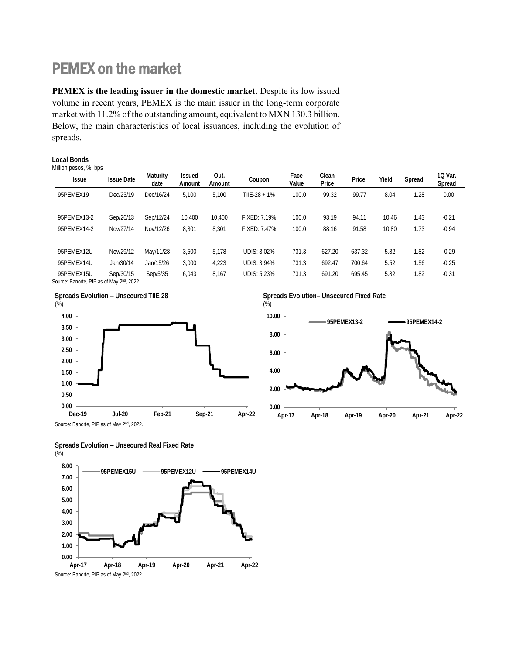## PEMEX on the market

**PEMEX is the leading issuer in the domestic market.** Despite its low issued volume in recent years, PEMEX is the main issuer in the long-term corporate market with 11.2% of the outstanding amount, equivalent to MXN 130.3 billion. Below, the main characteristics of local issuances, including the evolution of spreads.

| Million pesos, %, bps |                   |                  |                         |                |              |               |                |        |       |        |                   |
|-----------------------|-------------------|------------------|-------------------------|----------------|--------------|---------------|----------------|--------|-------|--------|-------------------|
| <b>Issue</b>          | <b>Issue Date</b> | Maturity<br>date | <b>Issued</b><br>Amount | Out.<br>Amount | Coupon       | Face<br>Value | Clean<br>Price | Price  | Yield | Spread | 10 Var.<br>Spread |
| 95PEMEX19             | Dec/23/19         | Dec/16/24        | 5.100                   | 5.100          | TIIE-28 + 1% | 100.0         | 99.32          | 99.77  | 8.04  | 1.28   | 0.00              |
|                       |                   |                  |                         |                |              |               |                |        |       |        |                   |
| 95PEMEX13-2           | Sep/26/13         | Sep/12/24        | 10,400                  | 10.400         | FIXFD: 7.19% | 100.0         | 93.19          | 94.11  | 10.46 | 1.43   | $-0.21$           |
| 95PEMEX14-2           | Nov/27/14         | Nov/12/26        | 8,301                   | 8,301          | FIXED: 7.47% | 100.0         | 88.16          | 91.58  | 10.80 | 1.73   | $-0.94$           |
|                       |                   |                  |                         |                |              |               |                |        |       |        |                   |
| 95PFMFX12U            | Nov/29/12         | May/11/28        | 3,500                   | 5.178          | UDIS: 3.02%  | 731.3         | 627.20         | 637.32 | 5.82  | 1.82   | $-0.29$           |
| 95PFMFX14U            | Jan/30/14         | Jan/15/26        | 3.000                   | 4,223          | UDIS: 3.94%  | 731.3         | 692.47         | 700.64 | 5.52  | 1.56   | $-0.25$           |
| 95PEMEX15U            | Sep/30/15         | Sep/5/35         | 6,043                   | 8,167          | UDIS: 5.23%  | 731.3         | 691.20         | 695.45 | 5.82  | 1.82   | $-0.31$           |
| $C = 0.0000$          |                   |                  |                         |                |              |               |                |        |       |        |                   |

Source: Banorte, PIP as of May 2<sup>nd</sup>, 2022.

**Local Bonds**



**Spreads Evolution– Unsecured Fixed Rate**



**Spreads Evolution – Unsecured Real Fixed Rate**  $(% )$ 

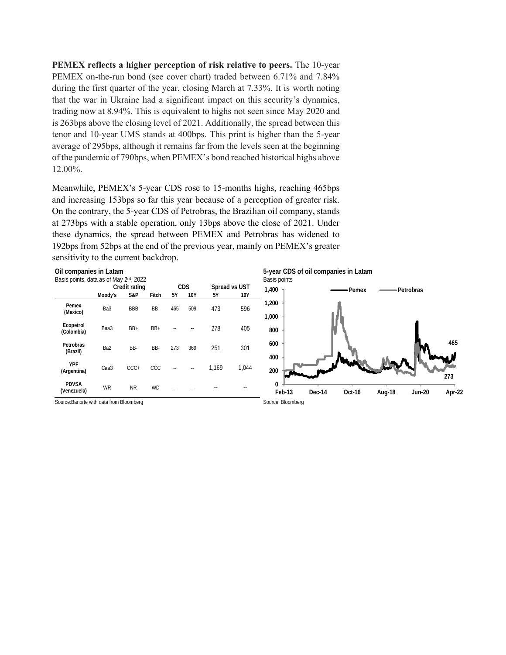**PEMEX reflects a higher perception of risk relative to peers.** The 10-year PEMEX on-the-run bond (see cover chart) traded between 6.71% and 7.84% during the first quarter of the year, closing March at 7.33%. It is worth noting that the war in Ukraine had a significant impact on this security's dynamics, trading now at 8.94%. This is equivalent to highs not seen since May 2020 and is 263bps above the closing level of 2021. Additionally, the spread between this tenor and 10-year UMS stands at 400bps. This print is higher than the 5-year average of 295bps, although it remains far from the levels seen at the beginning of the pandemic of 790bps, when PEMEX's bond reached historical highs above 12.00%.

Meanwhile, PEMEX's 5-year CDS rose to 15-months highs, reaching 465bps and increasing 153bps so far this year because of a perception of greater risk. On the contrary, the 5-year CDS of Petrobras, the Brazilian oil company, stands at 273bps with a stable operation, only 13bps above the close of 2021. Under these dynamics, the spread between PEMEX and Petrobras has widened to 192bps from 52bps at the end of the previous year, mainly on PEMEX's greater sensitivity to the current backdrop.

**Oil companies in Latam**

| Basis points, data as of May 2 <sup>nd</sup> , 2022 |               |            |           |            |     |       |               |  |  |
|-----------------------------------------------------|---------------|------------|-----------|------------|-----|-------|---------------|--|--|
|                                                     | Credit rating |            |           |            | CDS |       | Spread vs UST |  |  |
|                                                     | Moody's       | S&P        | Fitch     | 5Y         | 10Y | 5Y    | 10Y           |  |  |
| Pemex<br>(Mexico)                                   | Ba3           | <b>BBB</b> | BB-       | 465        | 509 | 473   | 596           |  |  |
| Ecopetrol<br>(Colombia)                             | Baa3          | $BB+$      | $BB+$     |            |     | 278   | 405           |  |  |
| Petrobras<br>(Brazil)                               | Ba2           | BB-        | BB-       | 273        | 369 | 251   | 301           |  |  |
| YPF<br>(Argentina)                                  | Caa3          | $CCC +$    | CCC       | $\sim$ $-$ |     | 1.169 | 1.044         |  |  |
| <b>PDVSA</b><br>(Venezuela)                         | <b>WR</b>     | <b>NR</b>  | <b>WD</b> |            |     |       |               |  |  |

Source: Banorte with data from Bloomberg Source: Bloomberg Source: Bloomberg Source: Bloomberg

**5-year CDS of oil companies in Latam** Basis points

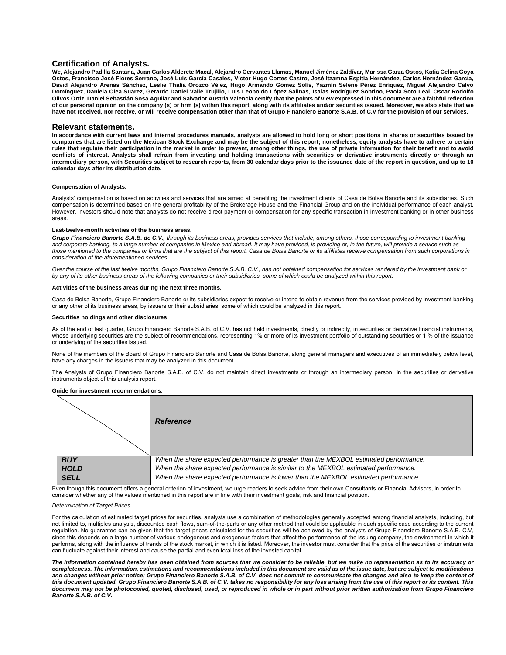#### **Certification of Analysts.**

**We, Alejandro Padilla Santana, Juan Carlos Alderete Macal, Alejandro Cervantes Llamas, Manuel Jiménez Zaldívar, Marissa Garza Ostos, Katia Celina Goya Ostos, Francisco José Flores Serrano, José Luis García Casales, Víctor Hugo Cortes Castro, José Itzamna Espitia Hernández, Carlos Hernández García, David Alejandro Arenas Sánchez, Leslie Thalía Orozco Vélez, Hugo Armando Gómez Solís, Yazmín Selene Pérez Enríquez, Miguel Alejandro Calvo Domínguez, Daniela Olea Suárez, Gerardo Daniel Valle Trujillo, Luis Leopoldo López Salinas, Isaías Rodríguez Sobrino, Paola Soto Leal, Oscar Rodolfo Olivos Ortiz, Daniel Sebastián Sosa Aguilar and Salvador Austria Valencia certify that the points of view expressed in this document are a faithful reflection of our personal opinion on the company (s) or firm (s) within this report, along with its affiliates and/or securities issued. Moreover, we also state that we have not received, nor receive, or will receive compensation other than that of Grupo Financiero Banorte S.A.B. of C.V for the provision of our services.**

#### **Relevant statements.**

**In accordance with current laws and internal procedures manuals, analysts are allowed to hold long or short positions in shares or securities issued by companies that are listed on the Mexican Stock Exchange and may be the subject of this report; nonetheless, equity analysts have to adhere to certain rules that regulate their participation in the market in order to prevent, among other things, the use of private information for their benefit and to avoid conflicts of interest. Analysts shall refrain from investing and holding transactions with securities or derivative instruments directly or through an intermediary person, with Securities subject to research reports, from 30 calendar days prior to the issuance date of the report in question, and up to 10 calendar days after its distribution date.**

#### **Compensation of Analysts.**

Analysts' compensation is based on activities and services that are aimed at benefiting the investment clients of Casa de Bolsa Banorte and its subsidiaries. Such compensation is determined based on the general profitability of the Brokerage House and the Financial Group and on the individual performance of each analyst. However, investors should note that analysts do not receive direct payment or compensation for any specific transaction in investment banking or in other business areas.

#### **Last-twelve-month activities of the business areas.**

*Grupo Financiero Banorte S.A.B. de C.V., through its business areas, provides services that include, among others, those corresponding to investment banking*  and corporate banking, to a large number of companies in Mexico and abroad. It may have provided, is providing or, in the future, will provide a service such as *those mentioned to the companies or firms that are the subject of this report. Casa de Bolsa Banorte or its affiliates receive compensation from such corporations in consideration of the aforementioned services.*

*Over the course of the last twelve months, Grupo Financiero Banorte S.A.B. C.V., has not obtained compensation for services rendered by the investment bank or by any of its other business areas of the following companies or their subsidiaries, some of which could be analyzed within this report.*

#### **Activities of the business areas during the next three months.**

Casa de Bolsa Banorte, Grupo Financiero Banorte or its subsidiaries expect to receive or intend to obtain revenue from the services provided by investment banking or any other of its business areas, by issuers or their subsidiaries, some of which could be analyzed in this report.

#### **Securities holdings and other disclosures**.

As of the end of last quarter, Grupo Financiero Banorte S.A.B. of C.V. has not held investments, directly or indirectly, in securities or derivative financial instruments, whose underlying securities are the subject of recommendations, representing 1% or more of its investment portfolio of outstanding securities or 1 % of the issuance or underlying of the securities issued.

None of the members of the Board of Grupo Financiero Banorte and Casa de Bolsa Banorte, along general managers and executives of an immediately below level, have any charges in the issuers that may be analyzed in this document.

The Analysts of Grupo Financiero Banorte S.A.B. of C.V. do not maintain direct investments or through an intermediary person, in the securities or derivative instruments object of this analysis report.

#### **Guide for investment recommendations.**



Even though this document offers a general criterion of investment, we urge readers to seek advice from their own Consultants or Financial Advisors, in order to consider whether any of the values mentioned in this report are in line with their investment goals, risk and financial position.

#### *Determination of Target Prices*

For the calculation of estimated target prices for securities, analysts use a combination of methodologies generally accepted among financial analysts, including, but not limited to, multiples analysis, discounted cash flows, sum-of-the-parts or any other method that could be applicable in each specific case according to the current regulation. No guarantee can be given that the target prices calculated for the securities will be achieved by the analysts of Grupo Financiero Banorte S.A.B. C.V, since this depends on a large number of various endogenous and exogenous factors that affect the performance of the issuing company, the environment in which it performs, along with the influence of trends of the stock market, in which it is listed. Moreover, the investor must consider that the price of the securities or instruments can fluctuate against their interest and cause the partial and even total loss of the invested capital.

*The information contained hereby has been obtained from sources that we consider to be reliable, but we make no representation as to its accuracy or completeness. The information, estimations and recommendations included in this document are valid as of the issue date, but are subject to modifications and changes without prior notice; Grupo Financiero Banorte S.A.B. of C.V. does not commit to communicate the changes and also to keep the content of this document updated. Grupo Financiero Banorte S.A.B. of C.V. takes no responsibility for any loss arising from the use of this report or its content. This document may not be photocopied, quoted, disclosed, used, or reproduced in whole or in part without prior written authorization from Grupo Financiero Banorte S.A.B. of C.V***.**